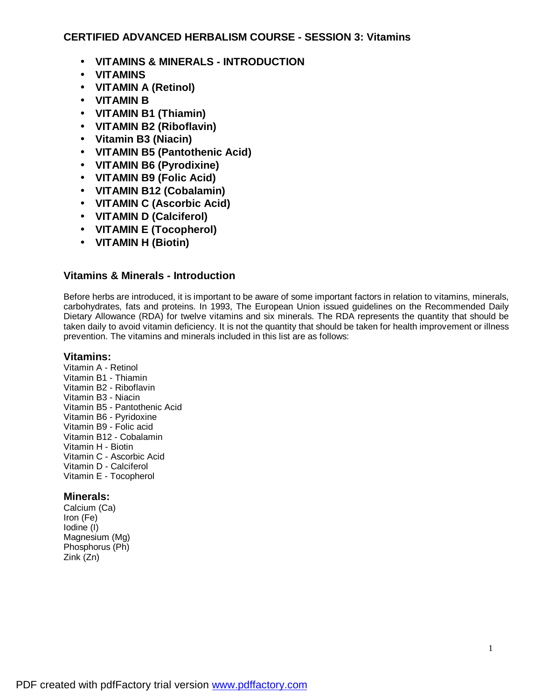## **CERTIFIED ADVANCED HERBALISM COURSE - SESSION 3: Vitamins**

- **VITAMINS & MINERALS - INTRODUCTION**
- **VITAMINS**
- **VITAMIN A (Retinol)**
- **VITAMIN B**
- **VITAMIN B1 (Thiamin)**
- **VITAMIN B2 (Riboflavin)**
- **Vitamin B3 (Niacin)**
- **VITAMIN B5 (Pantothenic Acid)**
- **VITAMIN B6 (Pyrodixine)**
- **VITAMIN B9 (Folic Acid)**
- **VITAMIN B12 (Cobalamin)**
- **VITAMIN C (Ascorbic Acid)**
- **VITAMIN D (Calciferol)**
- **VITAMIN E (Tocopherol)**
- **VITAMIN H (Biotin)**

## **Vitamins & Minerals - Introduction**

Before herbs are introduced, it is important to be aware of some important factors in relation to vitamins, minerals, carbohydrates, fats and proteins. In 1993, The European Union issued guidelines on the Recommended Daily Dietary Allowance (RDA) for twelve vitamins and six minerals. The RDA represents the quantity that should be taken daily to avoid vitamin deficiency. It is not the quantity that should be taken for health improvement or illness prevention. The vitamins and minerals included in this list are as follows:

## **Vitamins:**

Vitamin A - Retinol Vitamin B1 - Thiamin Vitamin B2 - Riboflavin Vitamin B3 - Niacin Vitamin B5 - Pantothenic Acid Vitamin B6 - Pyridoxine Vitamin B9 - Folic acid Vitamin B12 - Cobalamin Vitamin H - Biotin Vitamin C - Ascorbic Acid Vitamin D - Calciferol Vitamin E - Tocopherol

# **Minerals:**

Calcium (Ca) Iron (Fe) Iodine (I) Magnesium (Mg) Phosphorus (Ph) Zink (Zn)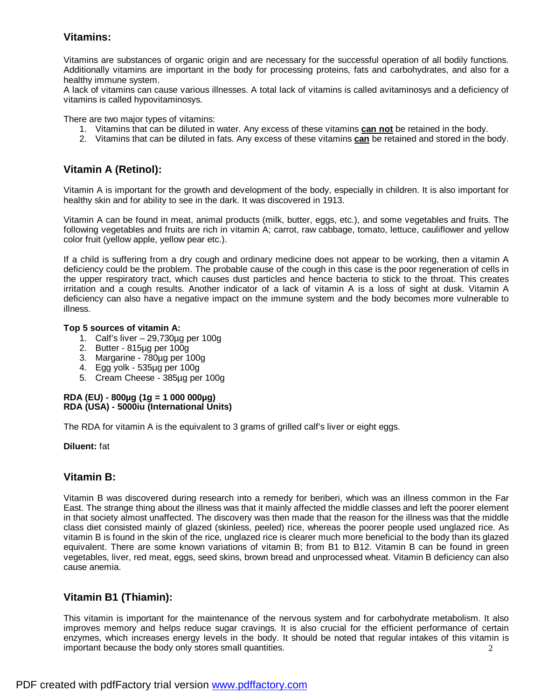# **Vitamins:**

Vitamins are substances of organic origin and are necessary for the successful operation of all bodily functions. Additionally vitamins are important in the body for processing proteins, fats and carbohydrates, and also for a healthy immune system.

A lack of vitamins can cause various illnesses. A total lack of vitamins is called avitaminosys and a deficiency of vitamins is called hypovitaminosys.

There are two major types of vitamins:

- 1. Vitamins that can be diluted in water. Any excess of these vitamins **can not** be retained in the body.
- 2. Vitamins that can be diluted in fats. Any excess of these vitamins **can** be retained and stored in the body.

## **Vitamin A (Retinol):**

Vitamin A is important for the growth and development of the body, especially in children. It is also important for healthy skin and for ability to see in the dark. It was discovered in 1913.

Vitamin A can be found in meat, animal products (milk, butter, eggs, etc.), and some vegetables and fruits. The following vegetables and fruits are rich in vitamin A; carrot, raw cabbage, tomato, lettuce, cauliflower and yellow color fruit (yellow apple, yellow pear etc.).

If a child is suffering from a dry cough and ordinary medicine does not appear to be working, then a vitamin A deficiency could be the problem. The probable cause of the cough in this case is the poor regeneration of cells in the upper respiratory tract, which causes dust particles and hence bacteria to stick to the throat. This creates irritation and a cough results. Another indicator of a lack of vitamin A is a loss of sight at dusk. Vitamin A deficiency can also have a negative impact on the immune system and the body becomes more vulnerable to illness.

#### **Top 5 sources of vitamin A:**

- 1. Calf's liver 29,730µg per 100g
- 2. Butter 815µg per 100g
- 3. Margarine 780µg per 100g
- 4. Egg yolk 535µg per 100g
- 5. Cream Cheese 385µg per 100g

#### **RDA (EU) - 800µg (1g = 1 000 000µg) RDA (USA) - 5000iu (International Units)**

The RDA for vitamin A is the equivalent to 3 grams of grilled calf's liver or eight eggs.

#### **Diluent:** fat

## **Vitamin B:**

Vitamin B was discovered during research into a remedy for beriberi, which was an illness common in the Far East. The strange thing about the illness was that it mainly affected the middle classes and left the poorer element in that society almost unaffected. The discovery was then made that the reason for the illness was that the middle class diet consisted mainly of glazed (skinless, peeled) rice, whereas the poorer people used unglazed rice. As vitamin B is found in the skin of the rice, unglazed rice is clearer much more beneficial to the body than its glazed equivalent. There are some known variations of vitamin B; from B1 to B12. Vitamin B can be found in green vegetables, liver, red meat, eggs, seed skins, brown bread and unprocessed wheat. Vitamin B deficiency can also cause anemia.

## **Vitamin B1 (Thiamin):**

2 This vitamin is important for the maintenance of the nervous system and for carbohydrate metabolism. It also improves memory and helps reduce sugar cravings. It is also crucial for the efficient performance of certain enzymes, which increases energy levels in the body. It should be noted that regular intakes of this vitamin is important because the body only stores small quantities.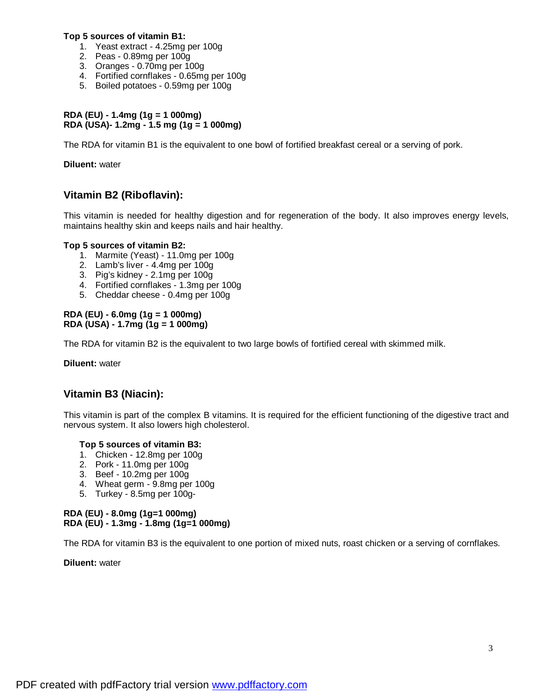#### **Top 5 sources of vitamin B1:**

- 1. Yeast extract 4.25mg per 100g
- 2. Peas 0.89mg per 100g
- 3. Oranges 0.70mg per 100g
- 4. Fortified cornflakes 0.65mg per 100g
- 5. Boiled potatoes 0.59mg per 100g

### **RDA (EU) - 1.4mg (1g = 1 000mg) RDA (USA)- 1.2mg - 1.5 mg (1g = 1 000mg)**

The RDA for vitamin B1 is the equivalent to one bowl of fortified breakfast cereal or a serving of pork.

**Diluent:** water

# **Vitamin B2 (Riboflavin):**

This vitamin is needed for healthy digestion and for regeneration of the body. It also improves energy levels, maintains healthy skin and keeps nails and hair healthy.

# **Top 5 sources of vitamin B2:**

- 1. Marmite (Yeast) 11.0mg per 100g
- 2. Lamb's liver 4.4mg per 100g
- 3. Pig's kidney 2.1mg per 100g
- 4. Fortified cornflakes 1.3mg per 100g
- 5. Cheddar cheese 0.4mg per 100g

### **RDA (EU) - 6.0mg (1g = 1 000mg) RDA (USA) - 1.7mg (1g = 1 000mg)**

The RDA for vitamin B2 is the equivalent to two large bowls of fortified cereal with skimmed milk.

**Diluent:** water

# **Vitamin B3 (Niacin):**

This vitamin is part of the complex B vitamins. It is required for the efficient functioning of the digestive tract and nervous system. It also lowers high cholesterol.

# **Top 5 sources of vitamin B3:**

- 1. Chicken 12.8mg per 100g
- 2. Pork 11.0mg per 100g
- 3. Beef 10.2mg per 100g
- 4. Wheat germ 9.8mg per 100g
- 5. Turkey 8.5mg per 100g-

## **RDA (EU) - 8.0mg (1g=1 000mg) RDA (EU) - 1.3mg - 1.8mg (1g=1 000mg)**

The RDA for vitamin B3 is the equivalent to one portion of mixed nuts, roast chicken or a serving of cornflakes.

**Diluent:** water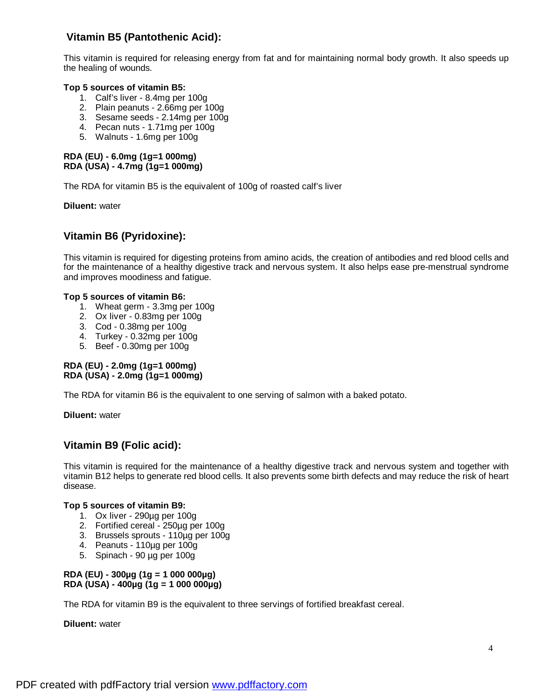# **Vitamin B5 (Pantothenic Acid):**

This vitamin is required for releasing energy from fat and for maintaining normal body growth. It also speeds up the healing of wounds.

### **Top 5 sources of vitamin B5:**

- 1. Calf's liver 8.4mg per 100g
- 2. Plain peanuts 2.66mg per 100g
- 3. Sesame seeds 2.14mg per 100g
- 4. Pecan nuts 1.71mg per 100g
- 5. Walnuts 1.6mg per 100g

### **RDA (EU) - 6.0mg (1g=1 000mg) RDA (USA) - 4.7mg (1g=1 000mg)**

The RDA for vitamin B5 is the equivalent of 100g of roasted calf's liver

**Diluent:** water

# **Vitamin B6 (Pyridoxine):**

This vitamin is required for digesting proteins from amino acids, the creation of antibodies and red blood cells and for the maintenance of a healthy digestive track and nervous system. It also helps ease pre-menstrual syndrome and improves moodiness and fatigue.

### **Top 5 sources of vitamin B6:**

- 1. Wheat germ 3.3mg per 100g
- 2. Ox liver 0.83mg per 100g
- 3. Cod 0.38mg per 100g
- 4. Turkey 0.32mg per 100g
- 5. Beef 0.30mg per 100g

#### **RDA (EU) - 2.0mg (1g=1 000mg) RDA (USA) - 2.0mg (1g=1 000mg)**

The RDA for vitamin B6 is the equivalent to one serving of salmon with a baked potato.

**Diluent:** water

# **Vitamin B9 (Folic acid):**

This vitamin is required for the maintenance of a healthy digestive track and nervous system and together with vitamin B12 helps to generate red blood cells. It also prevents some birth defects and may reduce the risk of heart disease.

#### **Top 5 sources of vitamin B9:**

- 1. Ox liver 290µg per 100g
- 2. Fortified cereal 250µg per 100g
- 3. Brussels sprouts 110µg per 100g
- 4. Peanuts 110µg per 100g
- 5. Spinach 90 µg per 100g

### **RDA (EU) - 300µg (1g = 1 000 000µg) RDA (USA) - 400µg (1g = 1 000 000µg)**

The RDA for vitamin B9 is the equivalent to three servings of fortified breakfast cereal.

**Diluent:** water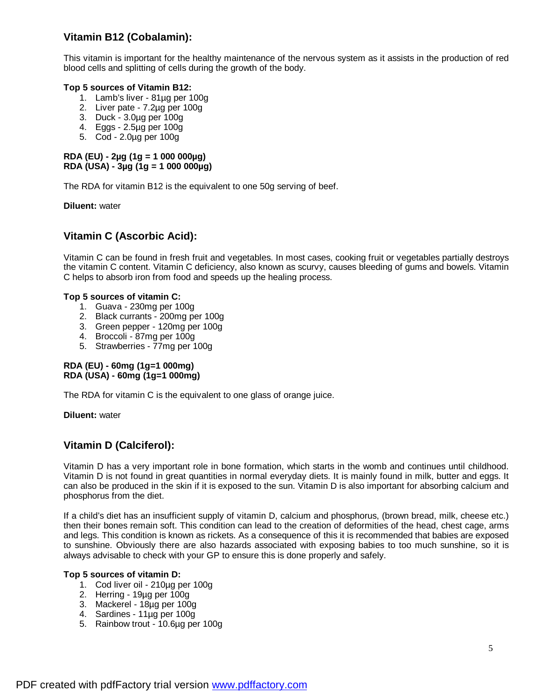# **Vitamin B12 (Cobalamin):**

This vitamin is important for the healthy maintenance of the nervous system as it assists in the production of red blood cells and splitting of cells during the growth of the body.

### **Top 5 sources of Vitamin B12:**

- 1. Lamb's liver 81µg per 100g
- 2. Liver pate 7.2µg per 100g
- 3. Duck 3.0µg per 100g
- 4. Eggs 2.5µg per 100g
- 5. Cod 2.0µg per 100g

#### **RDA (EU) - 2µg (1g = 1 000 000µg) RDA (USA) - 3µg (1g = 1 000 000µg)**

The RDA for vitamin B12 is the equivalent to one 50g serving of beef.

**Diluent:** water

# **Vitamin C (Ascorbic Acid):**

Vitamin C can be found in fresh fruit and vegetables. In most cases, cooking fruit or vegetables partially destroys the vitamin C content. Vitamin C deficiency, also known as scurvy, causes bleeding of gums and bowels. Vitamin C helps to absorb iron from food and speeds up the healing process.

### **Top 5 sources of vitamin C:**

- 1. Guava 230mg per 100g
- 2. Black currants 200mg per 100g
- 3. Green pepper 120mg per 100g
- 4. Broccoli 87mg per 100g
- 5. Strawberries 77mg per 100g

### **RDA (EU) - 60mg (1g=1 000mg) RDA (USA) - 60mg (1g=1 000mg)**

The RDA for vitamin C is the equivalent to one glass of orange juice.

**Diluent:** water

# **Vitamin D (Calciferol):**

Vitamin D has a very important role in bone formation, which starts in the womb and continues until childhood. Vitamin D is not found in great quantities in normal everyday diets. It is mainly found in milk, butter and eggs. It can also be produced in the skin if it is exposed to the sun. Vitamin D is also important for absorbing calcium and phosphorus from the diet.

If a child's diet has an insufficient supply of vitamin D, calcium and phosphorus, (brown bread, milk, cheese etc.) then their bones remain soft. This condition can lead to the creation of deformities of the head, chest cage, arms and legs. This condition is known as rickets. As a consequence of this it is recommended that babies are exposed to sunshine. Obviously there are also hazards associated with exposing babies to too much sunshine, so it is always advisable to check with your GP to ensure this is done properly and safely.

### **Top 5 sources of vitamin D:**

- 1. Cod liver oil 210µg per 100g
- 2. Herring 19µg per 100g
- 3. Mackerel 18µg per 100g
- 4. Sardines 11µg per 100g
- 5. Rainbow trout 10.6µg per 100g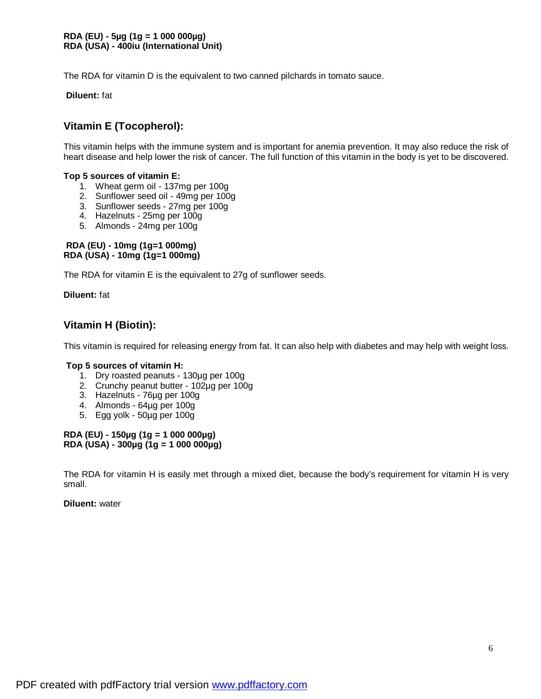The RDA for vitamin D is the equivalent to two canned pilchards in tomato sauce.

**Diluent:** fat

# **Vitamin E (Tocopherol):**

This vitamin helps with the immune system and is important for anemia prevention. It may also reduce the risk of heart disease and help lower the risk of cancer. The full function of this vitamin in the body is yet to be discovered.

### **Top 5 sources of vitamin E:**

- 1. Wheat germ oil 137mg per 100g
- 2. Sunflower seed oil 49mg per 100g
- 3. Sunflower seeds 27mg per 100g
- 4. Hazelnuts 25mg per 100g
- 5. Almonds 24mg per 100g

### **RDA (EU) - 10mg (1g=1 000mg) RDA (USA) - 10mg (1g=1 000mg)**

The RDA for vitamin E is the equivalent to 27g of sunflower seeds.

**Diluent:** fat

# **Vitamin H (Biotin):**

This vitamin is required for releasing energy from fat. It can also help with diabetes and may help with weight loss.

#### **Top 5 sources of vitamin H:**

- 1. Dry roasted peanuts 130µg per 100g
- 2. Crunchy peanut butter 102µg per 100g
- 3. Hazelnuts 76µg per 100g
- 4. Almonds 64µg per 100g
- 5. Egg yolk 50µg per 100g

#### **RDA (EU) - 150µg (1g = 1 000 000µg) RDA (USA) - 300µg (1g = 1 000 000µg)**

The RDA for vitamin H is easily met through a mixed diet, because the body's requirement for vitamin H is very small.

#### **Diluent:** water